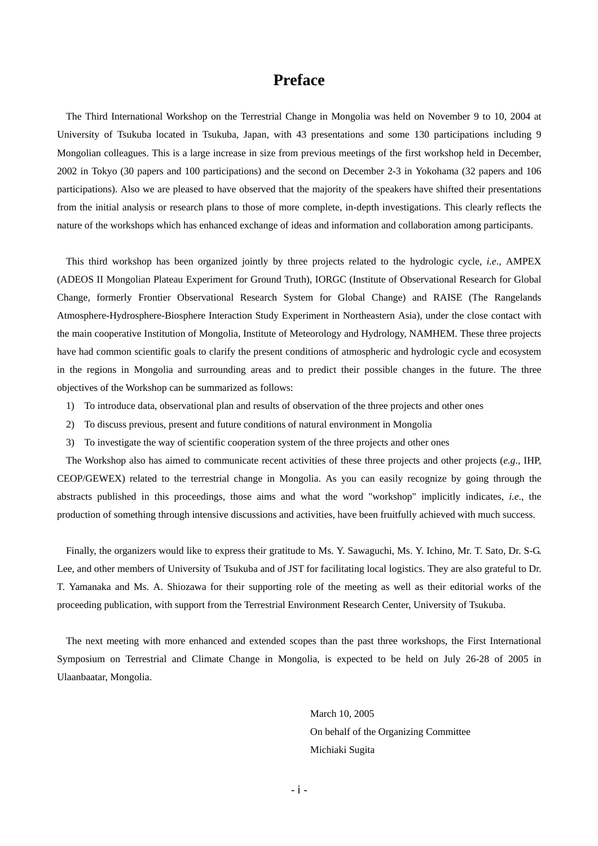## **Preface**

The Third International Workshop on the Terrestrial Change in Mongolia was held on November 9 to 10, 2004 at University of Tsukuba located in Tsukuba, Japan, with 43 presentations and some 130 participations including 9 Mongolian colleagues. This is a large increase in size from previous meetings of the first workshop held in December, 2002 in Tokyo (30 papers and 100 participations) and the second on December 2-3 in Yokohama (32 papers and 106 participations). Also we are pleased to have observed that the majority of the speakers have shifted their presentations from the initial analysis or research plans to those of more complete, in-depth investigations. This clearly reflects the nature of the workshops which has enhanced exchange of ideas and information and collaboration among participants.

This third workshop has been organized jointly by three projects related to the hydrologic cycle, *i.e*., AMPEX (ADEOS II Mongolian Plateau Experiment for Ground Truth), IORGC (Institute of Observational Research for Global Change, formerly Frontier Observational Research System for Global Change) and RAISE (The Rangelands Atmosphere-Hydrosphere-Biosphere Interaction Study Experiment in Northeastern Asia), under the close contact with the main cooperative Institution of Mongolia, Institute of Meteorology and Hydrology, NAMHEM. These three projects have had common scientific goals to clarify the present conditions of atmospheric and hydrologic cycle and ecosystem in the regions in Mongolia and surrounding areas and to predict their possible changes in the future. The three objectives of the Workshop can be summarized as follows:

- 1) To introduce data, observational plan and results of observation of the three projects and other ones
- 2) To discuss previous, present and future conditions of natural environment in Mongolia
- 3) To investigate the way of scientific cooperation system of the three projects and other ones

The Workshop also has aimed to communicate recent activities of these three projects and other projects (*e.g*., IHP, CEOP/GEWEX) related to the terrestrial change in Mongolia. As you can easily recognize by going through the abstracts published in this proceedings, those aims and what the word "workshop" implicitly indicates, *i.e*., the production of something through intensive discussions and activities, have been fruitfully achieved with much success.

Finally, the organizers would like to express their gratitude to Ms. Y. Sawaguchi, Ms. Y. Ichino, Mr. T. Sato, Dr. S-G. Lee, and other members of University of Tsukuba and of JST for facilitating local logistics. They are also grateful to Dr. T. Yamanaka and Ms. A. Shiozawa for their supporting role of the meeting as well as their editorial works of the proceeding publication, with support from the Terrestrial Environment Research Center, University of Tsukuba.

The next meeting with more enhanced and extended scopes than the past three workshops, the First International Symposium on Terrestrial and Climate Change in Mongolia, is expected to be held on July 26-28 of 2005 in Ulaanbaatar, Mongolia.

> March 10, 2005 On behalf of the Organizing Committee Michiaki Sugita